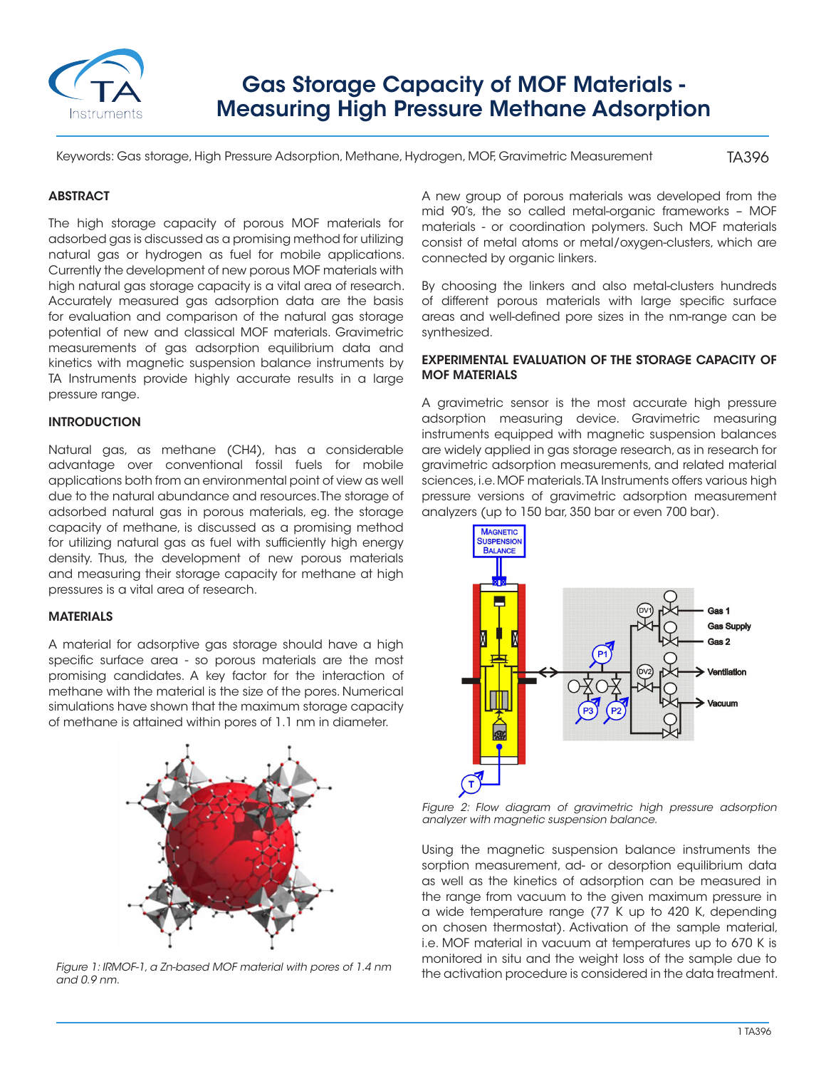

# Gas Storage Capacity of MOF Materials - Measuring High Pressure Methane Adsorption

Keywords: Gas storage, High Pressure Adsorption, Methane, Hydrogen, MOF, Gravimetric Measurement

TA396

### **ABSTRACT**

The high storage capacity of porous MOF materials for adsorbed gas is discussed as a promising method for utilizing natural gas or hydrogen as fuel for mobile applications. Currently the development of new porous MOF materials with high natural gas storage capacity is a vital area of research. Accurately measured gas adsorption data are the basis for evaluation and comparison of the natural gas storage potential of new and classical MOF materials. Gravimetric measurements of gas adsorption equilibrium data and kinetics with magnetic suspension balance instruments by TA Instruments provide highly accurate results in a large pressure range.

#### INTRODUCTION

Natural gas, as methane (CH4), has a considerable advantage over conventional fossil fuels for mobile applications both from an environmental point of view as well due to the natural abundance and resources. The storage of adsorbed natural gas in porous materials, eg. the storage capacity of methane, is discussed as a promising method for utilizing natural gas as fuel with sufficiently high energy density. Thus, the development of new porous materials and measuring their storage capacity for methane at high pressures is a vital area of research.

#### MATERIALS

A material for adsorptive gas storage should have a high specific surface area - so porous materials are the most promising candidates. A key factor for the interaction of methane with the material is the size of the pores. Numerical simulations have shown that the maximum storage capacity of methane is attained within pores of 1.1 nm in diameter.



*and 0.9 nm.*

A new group of porous materials was developed from the mid 90's, the so called metal-organic frameworks – MOF materials - or coordination polymers. Such MOF materials consist of metal atoms or metal/oxygen-clusters, which are connected by organic linkers.

By choosing the linkers and also metal-clusters hundreds of different porous materials with large specific surface areas and well-defined pore sizes in the nm-range can be synthesized.

#### EXPERIMENTAL EVALUATION OF THE STORAGE CAPACITY OF MOF MATERIALS

A gravimetric sensor is the most accurate high pressure adsorption measuring device. Gravimetric measuring instruments equipped with magnetic suspension balances are widely applied in gas storage research, as in research for gravimetric adsorption measurements, and related material sciences, i.e. MOF materials. TA Instruments offers various high pressure versions of gravimetric adsorption measurement analyzers (up to 150 bar, 350 bar or even 700 bar).



*Figure 2: Flow diagram of gravimetric high pressure adsorption analyzer with magnetic suspension balance.*

Using the magnetic suspension balance instruments the sorption measurement, ad- or desorption equilibrium data as well as the kinetics of adsorption can be measured in the range from vacuum to the given maximum pressure in a wide temperature range (77 K up to 420 K, depending on chosen thermostat). Activation of the sample material, i.e. MOF material in vacuum at temperatures up to 670 K is monitored in situ and the weight loss of the sample due to Figure 1: IRMOF-1, a Zn-based MOF material with pores of 1.4 nm<br>the activation procedure is considered in the data treatment.